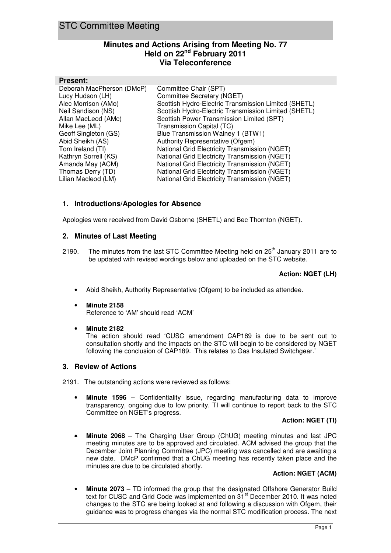# **Minutes and Actions Arising from Meeting No. 77 Held on 22nd February 2011 Via Teleconference**

#### **Present:**

| Deborah MacPherson (DMcP) | Committee Chair (SPT)                                |
|---------------------------|------------------------------------------------------|
| Lucy Hudson (LH)          | Committee Secretary (NGET)                           |
| Alec Morrison (AMo)       | Scottish Hydro-Electric Transmission Limited (SHETL) |
| Neil Sandison (NS)        | Scottish Hydro-Electric Transmission Limited (SHETL) |
| Allan MacLeod (AMc)       | Scottish Power Transmission Limited (SPT)            |
| Mike Lee (ML)             | Transmission Capital (TC)                            |
| Geoff Singleton (GS)      | Blue Transmission Walney 1 (BTW1)                    |
| Abid Sheikh (AS)          | Authority Representative (Ofgem)                     |
| Tom Ireland (TI)          | National Grid Electricity Transmission (NGET)        |
| Kathryn Sorrell (KS)      | National Grid Electricity Transmission (NGET)        |
| Amanda May (ACM)          | National Grid Electricity Transmission (NGET)        |
| Thomas Derry (TD)         | National Grid Electricity Transmission (NGET)        |
| Lilian Macleod (LM)       | National Grid Electricity Transmission (NGET)        |
|                           |                                                      |

## **1. Introductions/Apologies for Absence**

Apologies were received from David Osborne (SHETL) and Bec Thornton (NGET).

### **2. Minutes of Last Meeting**

2190. The minutes from the last STC Committee Meeting held on  $25<sup>th</sup>$  January 2011 are to be updated with revised wordings below and uploaded on the STC website.

### **Action: NGET (LH)**

- Abid Sheikh, Authority Representative (Ofgem) to be included as attendee.
- **Minute 2158**  Reference to 'AM' should read 'ACM'
- **Minute 2182**

The action should read 'CUSC amendment CAP189 is due to be sent out to consultation shortly and the impacts on the STC will begin to be considered by NGET following the conclusion of CAP189. This relates to Gas Insulated Switchgear.'

### **3. Review of Actions**

2191. The outstanding actions were reviewed as follows:

• **Minute 1596** – Confidentiality issue, regarding manufacturing data to improve transparency, ongoing due to low priority. TI will continue to report back to the STC Committee on NGET's progress.

#### **Action: NGET (TI)**

• **Minute 2068** – The Charging User Group (ChUG) meeting minutes and last JPC meeting minutes are to be approved and circulated. ACM advised the group that the December Joint Planning Committee (JPC) meeting was cancelled and are awaiting a new date. DMcP confirmed that a ChUG meeting has recently taken place and the minutes are due to be circulated shortly.

### **Action: NGET (ACM)**

• **Minute 2073** – TD informed the group that the designated Offshore Generator Build text for CUSC and Grid Code was implemented on  $31<sup>st</sup>$  December 2010. It was noted changes to the STC are being looked at and following a discussion with Ofgem, their guidance was to progress changes via the normal STC modification process. The next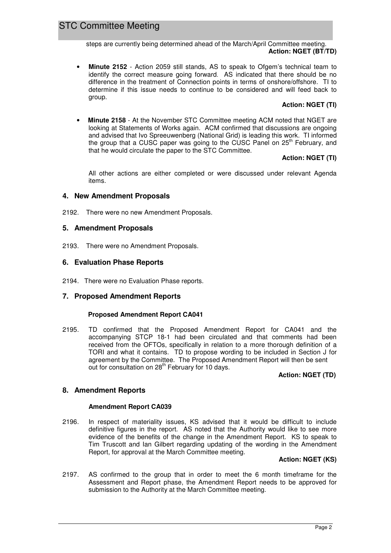steps are currently being determined ahead of the March/April Committee meeting. **Action: NGET (BT/TD)** 

• **Minute 2152** - Action 2059 still stands, AS to speak to Ofgem's technical team to identify the correct measure going forward. AS indicated that there should be no difference in the treatment of Connection points in terms of onshore/offshore. TI to determine if this issue needs to continue to be considered and will feed back to group.

### **Action: NGET (TI)**

• **Minute 2158** - At the November STC Committee meeting ACM noted that NGET are looking at Statements of Works again. ACM confirmed that discussions are ongoing and advised that Ivo Spreeuwenberg (National Grid) is leading this work. TI informed the group that a CUSC paper was going to the CUSC Panel on  $25<sup>th</sup>$  February, and that he would circulate the paper to the STC Committee.

### **Action: NGET (TI)**

All other actions are either completed or were discussed under relevant Agenda items.

## **4. New Amendment Proposals**

2192. There were no new Amendment Proposals.

### **5. Amendment Proposals**

2193. There were no Amendment Proposals.

### **6. Evaluation Phase Reports**

2194. There were no Evaluation Phase reports.

### **7. Proposed Amendment Reports**

### **Proposed Amendment Report CA041**

2195. TD confirmed that the Proposed Amendment Report for CA041 and the accompanying STCP 18-1 had been circulated and that comments had been received from the OFTOs, specifically in relation to a more thorough definition of a TORI and what it contains. TD to propose wording to be included in Section J for agreement by the Committee. The Proposed Amendment Report will then be sent out for consultation on 28<sup>th</sup> February for 10 days.

### **Action: NGET (TD)**

### **8. Amendment Reports**

### **Amendment Report CA039**

2196. In respect of materiality issues, KS advised that it would be difficult to include definitive figures in the report. AS noted that the Authority would like to see more evidence of the benefits of the change in the Amendment Report. KS to speak to Tim Truscott and Ian Gilbert regarding updating of the wording in the Amendment Report, for approval at the March Committee meeting.

#### **Action: NGET (KS)**

2197. AS confirmed to the group that in order to meet the 6 month timeframe for the Assessment and Report phase, the Amendment Report needs to be approved for submission to the Authority at the March Committee meeting.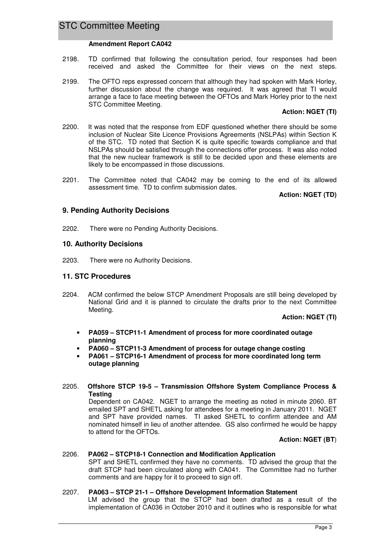#### **Amendment Report CA042**

- 2198. TD confirmed that following the consultation period, four responses had been received and asked the Committee for their views on the next steps.
- 2199. The OFTO reps expressed concern that although they had spoken with Mark Horley, further discussion about the change was required. It was agreed that TI would arrange a face to face meeting between the OFTOs and Mark Horley prior to the next STC Committee Meeting.

#### **Action: NGET (TI)**

- 2200. It was noted that the response from EDF questioned whether there should be some inclusion of Nuclear Site Licence Provisions Agreements (NSLPAs) within Section K of the STC. TD noted that Section K is quite specific towards compliance and that NSLPAs should be satisfied through the connections offer process. It was also noted that the new nuclear framework is still to be decided upon and these elements are likely to be encompassed in those discussions.
- 2201. The Committee noted that CA042 may be coming to the end of its allowed assessment time. TD to confirm submission dates.

**Action: NGET (TD)**

### **9. Pending Authority Decisions**

2202. There were no Pending Authority Decisions.

### **10. Authority Decisions**

2203. There were no Authority Decisions.

### **11. STC Procedures**

2204. ACM confirmed the below STCP Amendment Proposals are still being developed by National Grid and it is planned to circulate the drafts prior to the next Committee Meeting.

**Action: NGET (TI)** 

- **PA059 STCP11-1 Amendment of process for more coordinated outage planning**
- **PA060 STCP11-3 Amendment of process for outage change costing**
- **PA061 STCP16-1 Amendment of process for more coordinated long term outage planning**

#### 2205. **Offshore STCP 19-5 – Transmission Offshore System Compliance Process & Testing**

Dependent on CA042. NGET to arrange the meeting as noted in minute 2060. BT emailed SPT and SHETL asking for attendees for a meeting in January 2011. NGET and SPT have provided names. TI asked SHETL to confirm attendee and AM nominated himself in lieu of another attendee. GS also confirmed he would be happy to attend for the OFTOs.

#### **Action: NGET (BT**)

# 2206. **PA062 – STCP18-1 Connection and Modification Application**

SPT and SHETL confirmed they have no comments. TD advised the group that the draft STCP had been circulated along with CA041. The Committee had no further comments and are happy for it to proceed to sign off.

#### 2207. **PA063 – STCP 21-1 – Offshore Development Information Statement**

 LM advised the group that the STCP had been drafted as a result of the implementation of CA036 in October 2010 and it outlines who is responsible for what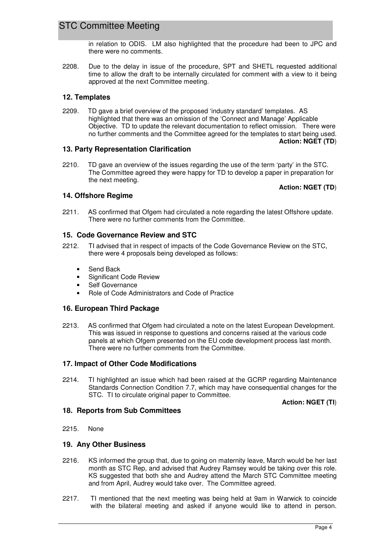in relation to ODIS. LM also highlighted that the procedure had been to JPC and there were no comments.

2208. Due to the delay in issue of the procedure, SPT and SHETL requested additional time to allow the draft to be internally circulated for comment with a view to it being approved at the next Committee meeting.

## **12. Templates**

2209. TD gave a brief overview of the proposed 'industry standard' templates. AS highlighted that there was an omission of the 'Connect and Manage' Applicable Objective. TD to update the relevant documentation to reflect omission. There were no further comments and the Committee agreed for the templates to start being used.

**Action: NGET (TD**)

## **13. Party Representation Clarification**

2210. TD gave an overview of the issues regarding the use of the term 'party' in the STC. The Committee agreed they were happy for TD to develop a paper in preparation for the next meeting.

#### **Action: NGET (TD**)

## **14. Offshore Regime**

2211.AS confirmed that Ofgem had circulated a note regarding the latest Offshore update. There were no further comments from the Committee.

## **15. Code Governance Review and STC**

- 2212. TI advised that in respect of impacts of the Code Governance Review on the STC, there were 4 proposals being developed as follows:
	- Send Back
	- Significant Code Review
	- Self Governance
	- Role of Code Administrators and Code of Practice

### **16. European Third Package**

2213.AS confirmed that Ofgem had circulated a note on the latest European Development. This was issued in response to questions and concerns raised at the various code panels at which Ofgem presented on the EU code development process last month. There were no further comments from the Committee.

### **17. Impact of Other Code Modifications**

2214.TI highlighted an issue which had been raised at the GCRP regarding Maintenance Standards Connection Condition 7.7, which may have consequential changes for the STC. TI to circulate original paper to Committee.

**Action: NGET (TI**)

# **18. Reports from Sub Committees**

2215. None

### **19. Any Other Business**

- 2216. KS informed the group that, due to going on maternity leave, March would be her last month as STC Rep, and advised that Audrey Ramsey would be taking over this role. KS suggested that both she and Audrey attend the March STC Committee meeting and from April, Audrey would take over. The Committee agreed.
- 2217. TI mentioned that the next meeting was being held at 9am in Warwick to coincide with the bilateral meeting and asked if anyone would like to attend in person.